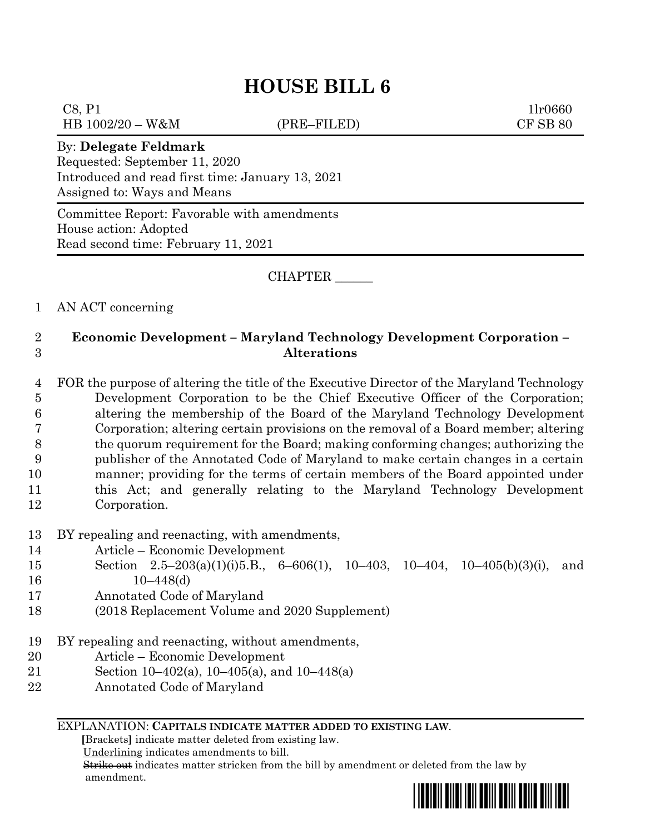$C8, P1$  1lr0660 HB 1002/20 – W&M (PRE–FILED) CF SB 80 By: **Delegate Feldmark** Requested: September 11, 2020 Introduced and read first time: January 13, 2021 Assigned to: Ways and Means Committee Report: Favorable with amendments House action: Adopted Read second time: February 11, 2021

CHAPTER \_\_\_\_\_\_

## 1 AN ACT concerning

## 2 **Economic Development – Maryland Technology Development Corporation –** 3 **Alterations**

 FOR the purpose of altering the title of the Executive Director of the Maryland Technology Development Corporation to be the Chief Executive Officer of the Corporation; altering the membership of the Board of the Maryland Technology Development Corporation; altering certain provisions on the removal of a Board member; altering the quorum requirement for the Board; making conforming changes; authorizing the publisher of the Annotated Code of Maryland to make certain changes in a certain manner; providing for the terms of certain members of the Board appointed under this Act; and generally relating to the Maryland Technology Development Corporation.

- 13 BY repealing and reenacting, with amendments,
- 14 Article Economic Development
- 15 Section 2.5–203(a)(1)(i)5.B., 6–606(1), 10–403, 10–404, 10–405(b)(3)(i), and 16 10–448(d)
- 17 Annotated Code of Maryland
- 18 (2018 Replacement Volume and 2020 Supplement)
- 19 BY repealing and reenacting, without amendments,
- 20 Article Economic Development
- 21 Section 10–402(a), 10–405(a), and 10–448(a)
- 22 Annotated Code of Maryland

### EXPLANATION: **CAPITALS INDICATE MATTER ADDED TO EXISTING LAW**.

 **[**Brackets**]** indicate matter deleted from existing law.

Underlining indicates amendments to bill.

 Strike out indicates matter stricken from the bill by amendment or deleted from the law by amendment.

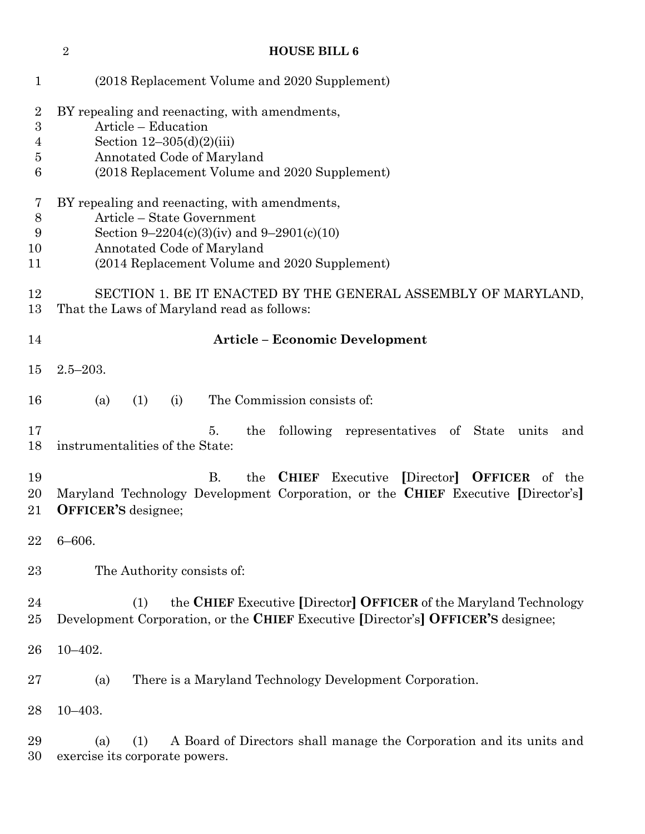| $\mathbf{1}$                                               | (2018 Replacement Volume and 2020 Supplement)                                                                                                                                                            |  |  |  |  |  |  |  |  |  |  |
|------------------------------------------------------------|----------------------------------------------------------------------------------------------------------------------------------------------------------------------------------------------------------|--|--|--|--|--|--|--|--|--|--|
| $\overline{\mathbf{2}}$<br>$\boldsymbol{3}$<br>4<br>5<br>6 | BY repealing and reenacting, with amendments,<br>Article - Education<br>Section $12-305(d)(2)(iii)$<br>Annotated Code of Maryland<br>(2018 Replacement Volume and 2020 Supplement)                       |  |  |  |  |  |  |  |  |  |  |
| 7<br>$8\,$<br>9<br>10<br>11                                | BY repealing and reenacting, with amendments,<br>Article – State Government<br>Section 9–2204(c)(3)(iv) and 9–2901(c)(10)<br>Annotated Code of Maryland<br>(2014 Replacement Volume and 2020 Supplement) |  |  |  |  |  |  |  |  |  |  |
| 12<br>13                                                   | SECTION 1. BE IT ENACTED BY THE GENERAL ASSEMBLY OF MARYLAND,<br>That the Laws of Maryland read as follows:                                                                                              |  |  |  |  |  |  |  |  |  |  |
| 14                                                         | <b>Article - Economic Development</b>                                                                                                                                                                    |  |  |  |  |  |  |  |  |  |  |
| 15                                                         | $2.5 - 203.$                                                                                                                                                                                             |  |  |  |  |  |  |  |  |  |  |
| 16                                                         | (1)<br>(i)<br>The Commission consists of:<br>(a)                                                                                                                                                         |  |  |  |  |  |  |  |  |  |  |
| 17<br>18                                                   | 5.<br>following<br>representatives of State units<br>the<br>and<br>instrumentalities of the State:                                                                                                       |  |  |  |  |  |  |  |  |  |  |
| 19<br>20<br>21                                             | <b>B.</b><br>the<br><b>CHIEF</b><br>Executive<br>[Director] OFFICER<br>of the<br>Maryland Technology Development Corporation, or the CHIEF Executive [Director's]<br><b>OFFICER'S</b> designee;          |  |  |  |  |  |  |  |  |  |  |
| 22                                                         | $6 - 606.$                                                                                                                                                                                               |  |  |  |  |  |  |  |  |  |  |
| 23                                                         | The Authority consists of:                                                                                                                                                                               |  |  |  |  |  |  |  |  |  |  |
| 24<br>25                                                   | the CHIEF Executive [Director] OFFICER of the Maryland Technology<br>(1)<br>Development Corporation, or the CHIEF Executive [Director's] OFFICER'S designee;                                             |  |  |  |  |  |  |  |  |  |  |
| 26                                                         | $10 - 402.$                                                                                                                                                                                              |  |  |  |  |  |  |  |  |  |  |
| 27                                                         | There is a Maryland Technology Development Corporation.<br>(a)                                                                                                                                           |  |  |  |  |  |  |  |  |  |  |
| 28                                                         | $10 - 403.$                                                                                                                                                                                              |  |  |  |  |  |  |  |  |  |  |
| 29<br>30                                                   | (1)<br>A Board of Directors shall manage the Corporation and its units and<br>(a)<br>exercise its corporate powers.                                                                                      |  |  |  |  |  |  |  |  |  |  |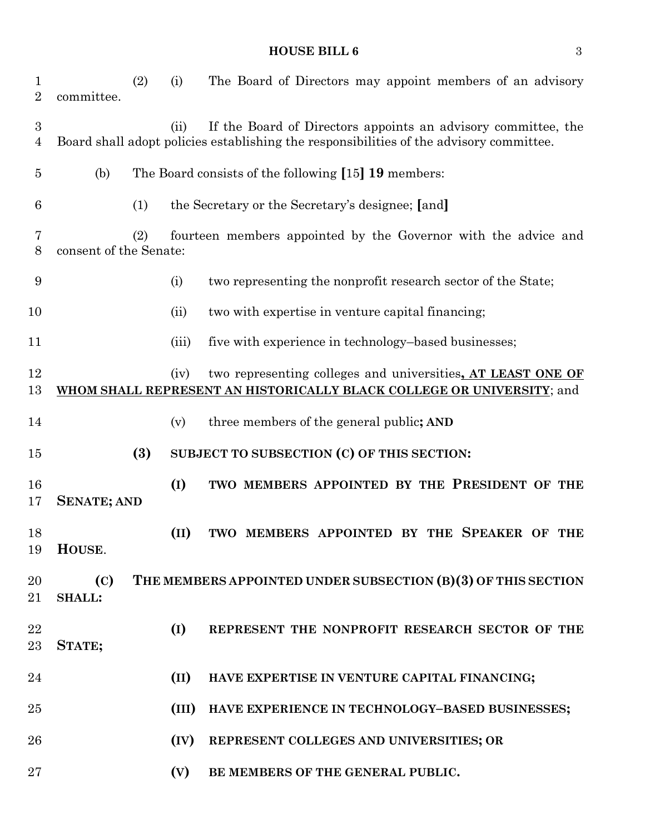| $\mathbf{1}$<br>$\overline{2}$ | committee.             | (2)                                                                   | (i)                                                  | The Board of Directors may appoint members of an advisory                                                                                                |  |  |  |  |
|--------------------------------|------------------------|-----------------------------------------------------------------------|------------------------------------------------------|----------------------------------------------------------------------------------------------------------------------------------------------------------|--|--|--|--|
| $\boldsymbol{3}$<br>4          |                        |                                                                       | (ii)                                                 | If the Board of Directors appoints an advisory committee, the<br>Board shall adopt policies establishing the responsibilities of the advisory committee. |  |  |  |  |
| 5                              | (b)                    |                                                                       | The Board consists of the following [15] 19 members: |                                                                                                                                                          |  |  |  |  |
| 6                              |                        | (1)                                                                   |                                                      | the Secretary or the Secretary's designee; [and]                                                                                                         |  |  |  |  |
| 7<br>8                         | consent of the Senate: | fourteen members appointed by the Governor with the advice and<br>(2) |                                                      |                                                                                                                                                          |  |  |  |  |
| 9                              |                        |                                                                       | (i)                                                  | two representing the nonprofit research sector of the State;                                                                                             |  |  |  |  |
| 10                             |                        |                                                                       | (ii)                                                 | two with expertise in venture capital financing;                                                                                                         |  |  |  |  |
| 11                             |                        |                                                                       | (iii)                                                | five with experience in technology-based businesses;                                                                                                     |  |  |  |  |
| 12<br>13                       |                        |                                                                       | (iv)                                                 | two representing colleges and universities, AT LEAST ONE OF<br>WHOM SHALL REPRESENT AN HISTORICALLY BLACK COLLEGE OR UNIVERSITY; and                     |  |  |  |  |
| 14                             |                        |                                                                       | (v)                                                  | three members of the general public; AND                                                                                                                 |  |  |  |  |
| 15                             |                        | (3)                                                                   |                                                      | SUBJECT TO SUBSECTION (C) OF THIS SECTION:                                                                                                               |  |  |  |  |
| 16<br>17                       | <b>SENATE; AND</b>     |                                                                       | (I)                                                  | TWO MEMBERS APPOINTED BY THE PRESIDENT OF THE                                                                                                            |  |  |  |  |
|                                |                        |                                                                       |                                                      |                                                                                                                                                          |  |  |  |  |
| 18<br>19                       | HOUSE.                 |                                                                       | (II)                                                 | MEMBERS APPOINTED BY THE SPEAKER OF THE<br><b>TWO</b>                                                                                                    |  |  |  |  |
| 20<br>21                       | (C)<br><b>SHALL:</b>   |                                                                       |                                                      | THE MEMBERS APPOINTED UNDER SUBSECTION (B)(3) OF THIS SECTION                                                                                            |  |  |  |  |
| 22<br>$23\,$                   | STATE;                 |                                                                       | (I)                                                  | REPRESENT THE NONPROFIT RESEARCH SECTOR OF THE                                                                                                           |  |  |  |  |
| 24                             |                        |                                                                       | (II)                                                 | HAVE EXPERTISE IN VENTURE CAPITAL FINANCING;                                                                                                             |  |  |  |  |
| $25\,$                         |                        |                                                                       | (III)                                                | HAVE EXPERIENCE IN TECHNOLOGY-BASED BUSINESSES;                                                                                                          |  |  |  |  |
| 26                             |                        |                                                                       | (IV)                                                 | REPRESENT COLLEGES AND UNIVERSITIES; OR                                                                                                                  |  |  |  |  |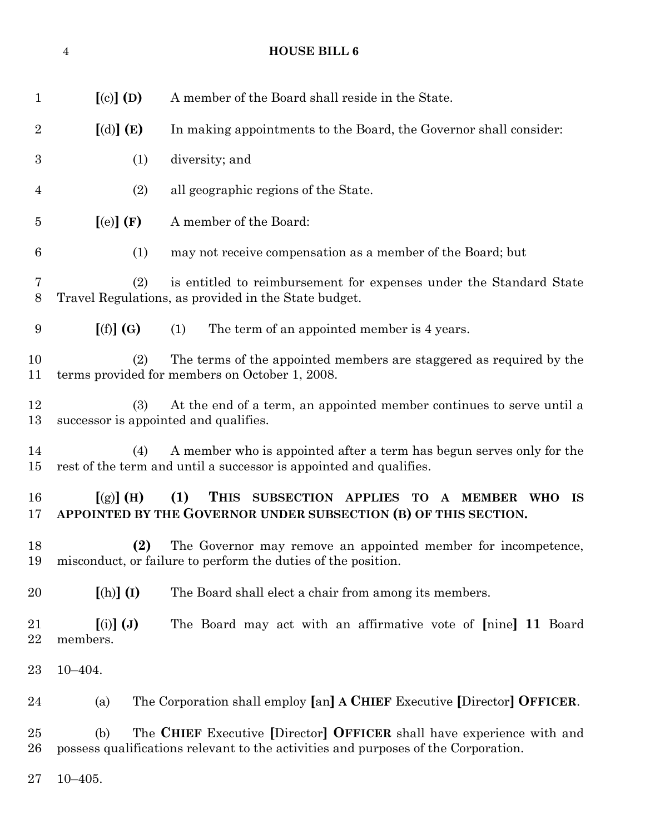| $\mathbf{1}$   | $[(c)]$ (D)                                                      | A member of the Board shall reside in the State.                                                                                                                           |  |  |  |  |  |
|----------------|------------------------------------------------------------------|----------------------------------------------------------------------------------------------------------------------------------------------------------------------------|--|--|--|--|--|
| $\overline{2}$ | [(d)] (E)                                                        | In making appointments to the Board, the Governor shall consider:                                                                                                          |  |  |  |  |  |
| 3              | (1)                                                              | diversity; and                                                                                                                                                             |  |  |  |  |  |
| 4              | (2)                                                              | all geographic regions of the State.                                                                                                                                       |  |  |  |  |  |
| $\overline{5}$ | [(e)](F)                                                         | A member of the Board:                                                                                                                                                     |  |  |  |  |  |
| 6              | (1)                                                              | may not receive compensation as a member of the Board; but                                                                                                                 |  |  |  |  |  |
| 7<br>8         | (2)                                                              | is entitled to reimbursement for expenses under the Standard State<br>Travel Regulations, as provided in the State budget.                                                 |  |  |  |  |  |
| 9              | [(f)](G)                                                         | (1)<br>The term of an appointed member is 4 years.                                                                                                                         |  |  |  |  |  |
| 10<br>11       | (2)                                                              | The terms of the appointed members are staggered as required by the<br>terms provided for members on October 1, 2008.                                                      |  |  |  |  |  |
| 12<br>13       | (3)                                                              | At the end of a term, an appointed member continues to serve until a<br>successor is appointed and qualifies.                                                              |  |  |  |  |  |
| 14<br>15       | (4)                                                              | A member who is appointed after a term has begun serves only for the<br>rest of the term and until a successor is appointed and qualifies.                                 |  |  |  |  |  |
| 16<br>17       | [(g)] (H)                                                        | (1)<br><b>THIS</b><br>SUBSECTION APPLIES TO<br><b>MEMBER</b><br><b>WHO</b><br>$\mathbf{A}$<br><b>IS</b><br>APPOINTED BY THE GOVERNOR UNDER SUBSECTION (B) OF THIS SECTION. |  |  |  |  |  |
| 18<br>19       | (2)                                                              | The Governor may remove an appointed member for incompetence,<br>misconduct, or failure to perform the duties of the position.                                             |  |  |  |  |  |
| <b>20</b>      | $[(h)]$ $(I)$                                                    | The Board shall elect a chair from among its members.                                                                                                                      |  |  |  |  |  |
| 21<br>22       | $\left[\left(i\right)\right]\left(\mathbf{J}\right)$<br>members. | The Board may act with an affirmative vote of [nine] 11 Board                                                                                                              |  |  |  |  |  |
| 23             | $10 - 404.$                                                      |                                                                                                                                                                            |  |  |  |  |  |
| 24             | (a)                                                              | The Corporation shall employ [an] A CHIEF Executive [Director] OFFICER.                                                                                                    |  |  |  |  |  |
| 25<br>26       | (b)                                                              | The CHIEF Executive [Director] OFFICER shall have experience with and<br>possess qualifications relevant to the activities and purposes of the Corporation.                |  |  |  |  |  |
| 27             | $10 - 405.$                                                      |                                                                                                                                                                            |  |  |  |  |  |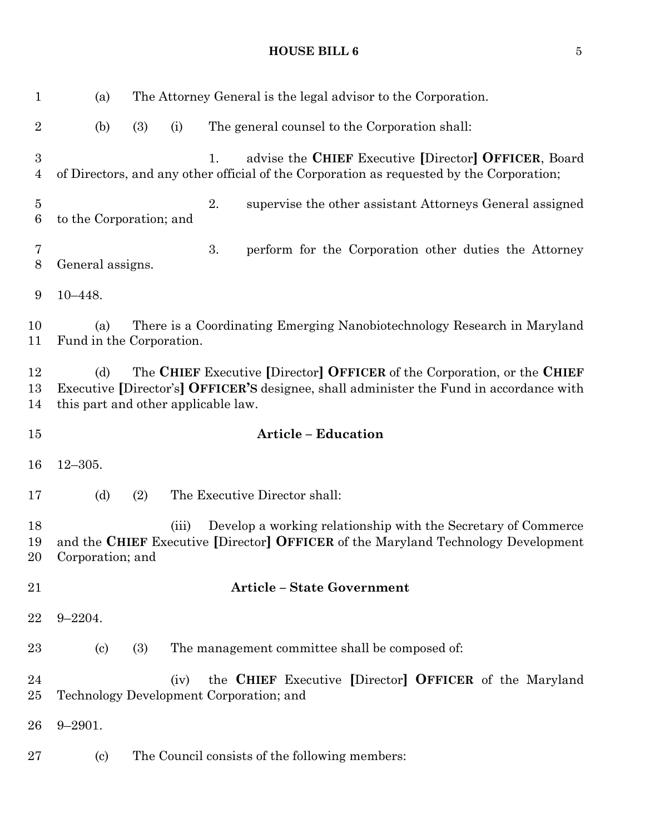| $\mathbf{1}$          | (a)                                                                                                                                                                                                              |     | The Attorney General is the legal advisor to the Corporation. |    |                                                                                                                                                    |  |  |  |  |
|-----------------------|------------------------------------------------------------------------------------------------------------------------------------------------------------------------------------------------------------------|-----|---------------------------------------------------------------|----|----------------------------------------------------------------------------------------------------------------------------------------------------|--|--|--|--|
| $\sqrt{2}$            | (b)                                                                                                                                                                                                              | (3) | (i)                                                           |    | The general counsel to the Corporation shall:                                                                                                      |  |  |  |  |
| $\boldsymbol{3}$<br>4 |                                                                                                                                                                                                                  |     |                                                               | 1. | advise the CHIEF Executive [Director] OFFICER, Board<br>of Directors, and any other official of the Corporation as requested by the Corporation;   |  |  |  |  |
| $\overline{5}$<br>6   | to the Corporation; and                                                                                                                                                                                          |     |                                                               | 2. | supervise the other assistant Attorneys General assigned                                                                                           |  |  |  |  |
| 7<br>$8\,$            | General assigns.                                                                                                                                                                                                 |     |                                                               | 3. | perform for the Corporation other duties the Attorney                                                                                              |  |  |  |  |
| 9                     | $10 - 448.$                                                                                                                                                                                                      |     |                                                               |    |                                                                                                                                                    |  |  |  |  |
| 10<br>11              | (a)<br>Fund in the Corporation.                                                                                                                                                                                  |     |                                                               |    | There is a Coordinating Emerging Nanobiotechnology Research in Maryland                                                                            |  |  |  |  |
| 12<br>13<br>14        | The CHIEF Executive [Director] OFFICER of the Corporation, or the CHIEF<br>(d)<br>Executive [Director's] OFFICER'S designee, shall administer the Fund in accordance with<br>this part and other applicable law. |     |                                                               |    |                                                                                                                                                    |  |  |  |  |
| 15                    |                                                                                                                                                                                                                  |     |                                                               |    | <b>Article - Education</b>                                                                                                                         |  |  |  |  |
| 16                    | $12 - 305.$                                                                                                                                                                                                      |     |                                                               |    |                                                                                                                                                    |  |  |  |  |
| 17                    | (d)                                                                                                                                                                                                              | (2) |                                                               |    | The Executive Director shall:                                                                                                                      |  |  |  |  |
| 18<br>19<br>20        | Corporation; and                                                                                                                                                                                                 |     | (iii)                                                         |    | Develop a working relationship with the Secretary of Commerce<br>and the CHIEF Executive [Director] OFFICER of the Maryland Technology Development |  |  |  |  |
| 21                    |                                                                                                                                                                                                                  |     |                                                               |    | <b>Article - State Government</b>                                                                                                                  |  |  |  |  |
| 22                    | $9 - 2204.$                                                                                                                                                                                                      |     |                                                               |    |                                                                                                                                                    |  |  |  |  |
| 23                    | $\left( \text{c}\right)$                                                                                                                                                                                         | (3) |                                                               |    | The management committee shall be composed of:                                                                                                     |  |  |  |  |
| 24<br>25              |                                                                                                                                                                                                                  |     | (iv)                                                          |    | the CHIEF Executive [Director] OFFICER of the Maryland<br>Technology Development Corporation; and                                                  |  |  |  |  |
| 26                    | $9 - 2901.$                                                                                                                                                                                                      |     |                                                               |    |                                                                                                                                                    |  |  |  |  |
| $27\,$                | $\left( \mathrm{c}\right)$                                                                                                                                                                                       |     |                                                               |    | The Council consists of the following members:                                                                                                     |  |  |  |  |